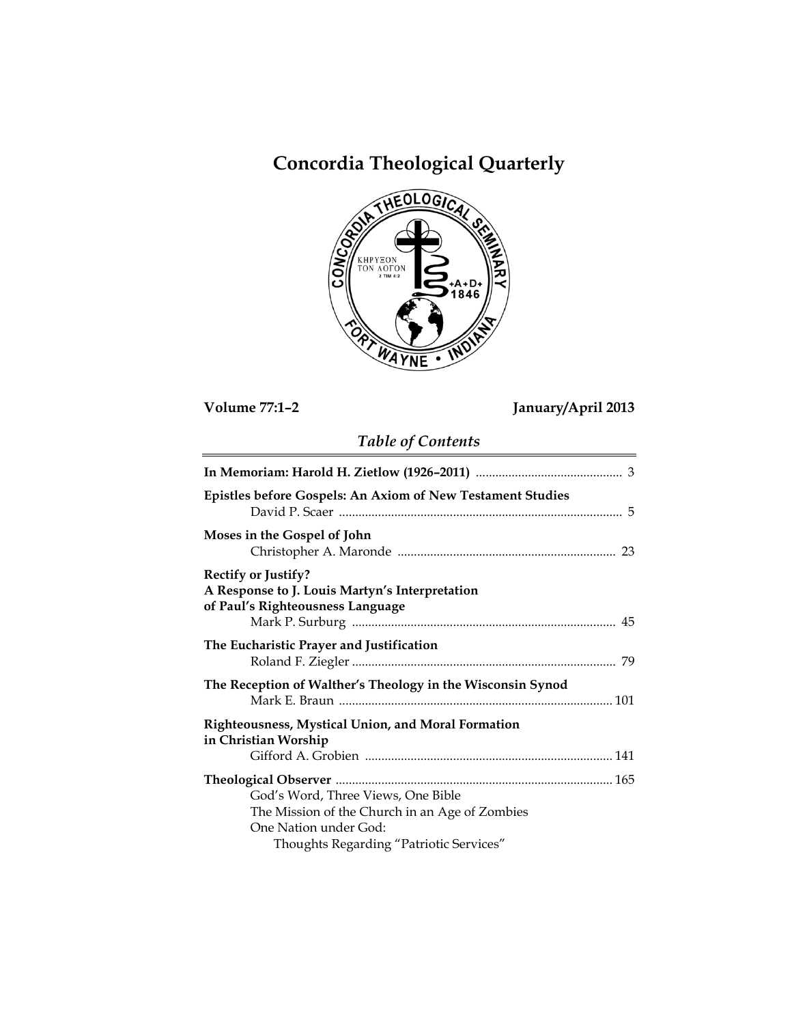# **Concordia Theological Quarterly**



**Volume 77:1–2 January/April 2013**

# *Table of Contents*

| <b>Epistles before Gospels: An Axiom of New Testament Studies</b>                                                |
|------------------------------------------------------------------------------------------------------------------|
| Moses in the Gospel of John                                                                                      |
| <b>Rectify or Justify?</b><br>A Response to J. Louis Martyn's Interpretation<br>of Paul's Righteousness Language |
| The Eucharistic Prayer and Justification                                                                         |
| The Reception of Walther's Theology in the Wisconsin Synod                                                       |
| Righteousness, Mystical Union, and Moral Formation<br>in Christian Worship                                       |
|                                                                                                                  |
|                                                                                                                  |
| God's Word, Three Views, One Bible                                                                               |
| The Mission of the Church in an Age of Zombies                                                                   |
| One Nation under God:                                                                                            |
| Thoughts Regarding "Patriotic Services"                                                                          |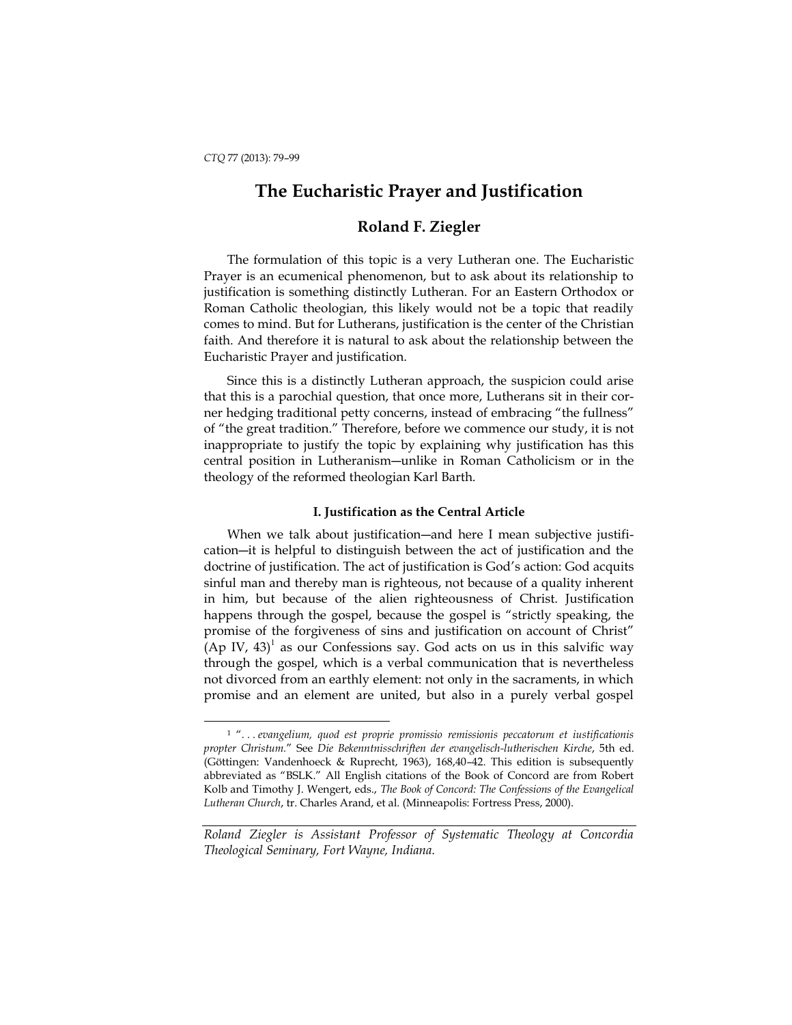l

## **The Eucharistic Prayer and Justification**

### **Roland F. Ziegler**

The formulation of this topic is a very Lutheran one. The Eucharistic Prayer is an ecumenical phenomenon, but to ask about its relationship to justification is something distinctly Lutheran. For an Eastern Orthodox or Roman Catholic theologian, this likely would not be a topic that readily comes to mind. But for Lutherans, justification is the center of the Christian faith. And therefore it is natural to ask about the relationship between the Eucharistic Prayer and justification.

Since this is a distinctly Lutheran approach, the suspicion could arise that this is a parochial question, that once more, Lutherans sit in their corner hedging traditional petty concerns, instead of embracing "the fullness" of "the great tradition." Therefore, before we commence our study, it is not inappropriate to justify the topic by explaining why justification has this central position in Lutheranism―unlike in Roman Catholicism or in the theology of the reformed theologian Karl Barth.

#### **I. Justification as the Central Article**

When we talk about justification—and here I mean subjective justification―it is helpful to distinguish between the act of justification and the doctrine of justification. The act of justification is God's action: God acquits sinful man and thereby man is righteous, not because of a quality inherent in him, but because of the alien righteousness of Christ. Justification happens through the gospel, because the gospel is "strictly speaking, the promise of the forgiveness of sins and justification on account of Christ"  $(Ap IV, 43)$ <sup>1</sup> as our Confessions say. God acts on us in this salvific way through the gospel, which is a verbal communication that is nevertheless not divorced from an earthly element: not only in the sacraments, in which promise and an element are united, but also in a purely verbal gospel

<sup>1</sup> "*. . . evangelium, quod est proprie promissio remissionis peccatorum et iustificationis propter Christum.*" See *Die Bekenntnisschriften der evangelisch-lutherischen Kirche*, 5th ed. (Göttingen: Vandenhoeck & Ruprecht, 1963), 168,40–42. This edition is subsequently abbreviated as "BSLK." All English citations of the Book of Concord are from Robert Kolb and Timothy J. Wengert, eds., *The Book of Concord: The Confessions of the Evangelical Lutheran Church*, tr. Charles Arand, et al. (Minneapolis: Fortress Press, 2000).

*Roland Ziegler is Assistant Professor of Systematic Theology at Concordia Theological Seminary, Fort Wayne, Indiana.*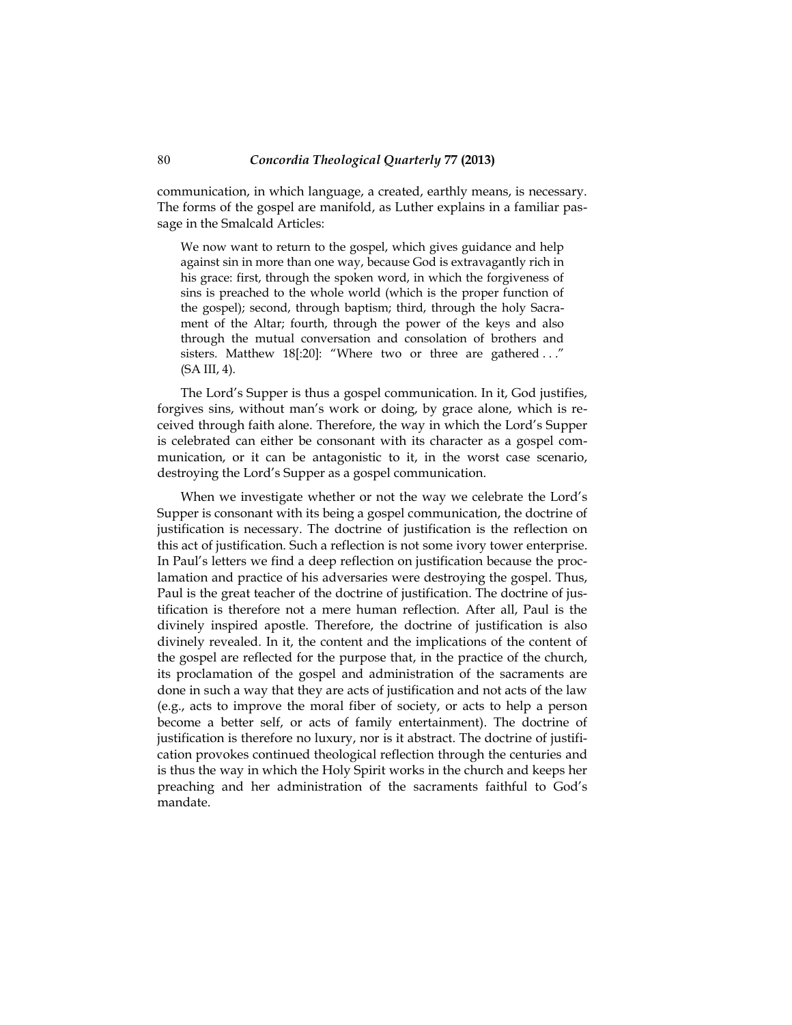communication, in which language, a created, earthly means, is necessary. The forms of the gospel are manifold, as Luther explains in a familiar passage in the Smalcald Articles:

We now want to return to the gospel, which gives guidance and help against sin in more than one way, because God is extravagantly rich in his grace: first, through the spoken word, in which the forgiveness of sins is preached to the whole world (which is the proper function of the gospel); second, through baptism; third, through the holy Sacrament of the Altar; fourth, through the power of the keys and also through the mutual conversation and consolation of brothers and sisters. Matthew 18[:20]: "Where two or three are gathered ..." (SA III, 4).

The Lord's Supper is thus a gospel communication. In it, God justifies, forgives sins, without man's work or doing, by grace alone, which is received through faith alone. Therefore, the way in which the Lord's Supper is celebrated can either be consonant with its character as a gospel communication, or it can be antagonistic to it, in the worst case scenario, destroying the Lord's Supper as a gospel communication.

When we investigate whether or not the way we celebrate the Lord's Supper is consonant with its being a gospel communication, the doctrine of justification is necessary. The doctrine of justification is the reflection on this act of justification. Such a reflection is not some ivory tower enterprise. In Paul's letters we find a deep reflection on justification because the proclamation and practice of his adversaries were destroying the gospel. Thus, Paul is the great teacher of the doctrine of justification. The doctrine of justification is therefore not a mere human reflection. After all, Paul is the divinely inspired apostle. Therefore, the doctrine of justification is also divinely revealed. In it, the content and the implications of the content of the gospel are reflected for the purpose that, in the practice of the church, its proclamation of the gospel and administration of the sacraments are done in such a way that they are acts of justification and not acts of the law (e.g., acts to improve the moral fiber of society, or acts to help a person become a better self, or acts of family entertainment). The doctrine of justification is therefore no luxury, nor is it abstract. The doctrine of justification provokes continued theological reflection through the centuries and is thus the way in which the Holy Spirit works in the church and keeps her preaching and her administration of the sacraments faithful to God's mandate.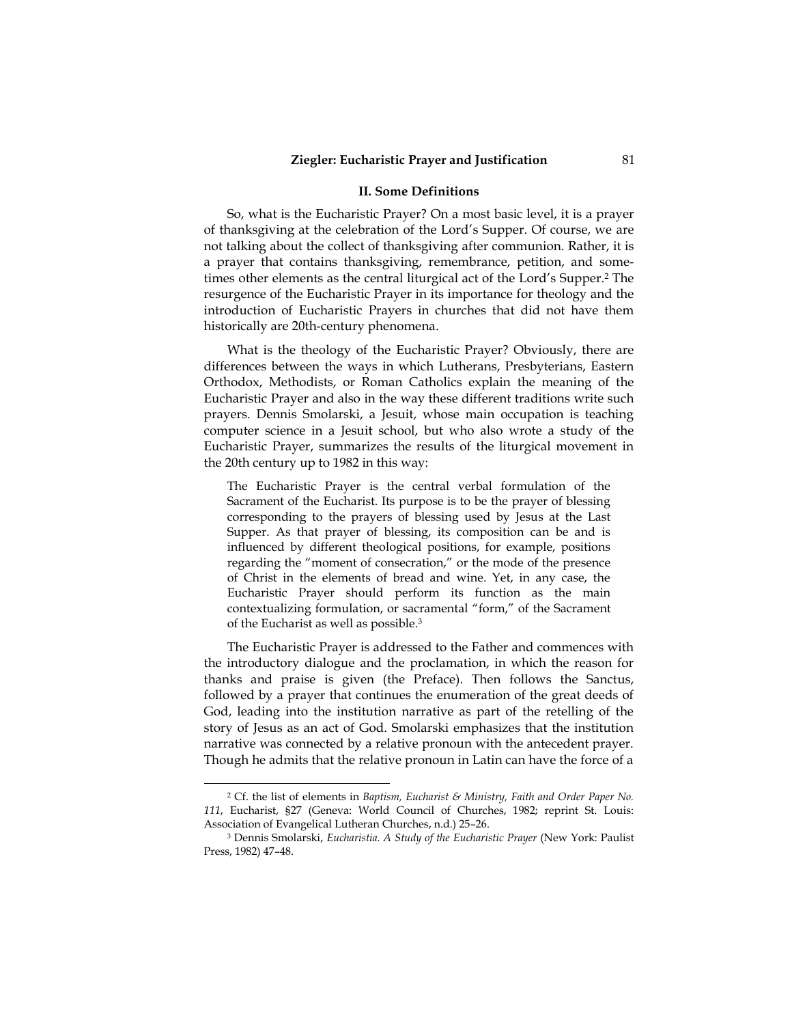#### **II. Some Definitions**

So, what is the Eucharistic Prayer? On a most basic level, it is a prayer of thanksgiving at the celebration of the Lord's Supper. Of course, we are not talking about the collect of thanksgiving after communion. Rather, it is a prayer that contains thanksgiving, remembrance, petition, and sometimes other elements as the central liturgical act of the Lord's Supper.<sup>2</sup> The resurgence of the Eucharistic Prayer in its importance for theology and the introduction of Eucharistic Prayers in churches that did not have them historically are 20th-century phenomena.

What is the theology of the Eucharistic Prayer? Obviously, there are differences between the ways in which Lutherans, Presbyterians, Eastern Orthodox, Methodists, or Roman Catholics explain the meaning of the Eucharistic Prayer and also in the way these different traditions write such prayers. Dennis Smolarski, a Jesuit, whose main occupation is teaching computer science in a Jesuit school, but who also wrote a study of the Eucharistic Prayer, summarizes the results of the liturgical movement in the 20th century up to 1982 in this way:

The Eucharistic Prayer is the central verbal formulation of the Sacrament of the Eucharist. Its purpose is to be the prayer of blessing corresponding to the prayers of blessing used by Jesus at the Last Supper. As that prayer of blessing, its composition can be and is influenced by different theological positions, for example, positions regarding the "moment of consecration," or the mode of the presence of Christ in the elements of bread and wine. Yet, in any case, the Eucharistic Prayer should perform its function as the main contextualizing formulation, or sacramental "form," of the Sacrament of the Eucharist as well as possible.<sup>3</sup>

The Eucharistic Prayer is addressed to the Father and commences with the introductory dialogue and the proclamation, in which the reason for thanks and praise is given (the Preface). Then follows the Sanctus, followed by a prayer that continues the enumeration of the great deeds of God, leading into the institution narrative as part of the retelling of the story of Jesus as an act of God. Smolarski emphasizes that the institution narrative was connected by a relative pronoun with the antecedent prayer. Though he admits that the relative pronoun in Latin can have the force of a

<sup>2</sup> Cf. the list of elements in *Baptism, Eucharist & Ministry, Faith and Order Paper No. 111*, Eucharist, §27 (Geneva: World Council of Churches, 1982; reprint St. Louis: Association of Evangelical Lutheran Churches, n.d.) 25–26.

<sup>3</sup> Dennis Smolarski, *Eucharistia. A Study of the Eucharistic Prayer* (New York: Paulist Press, 1982) 47–48.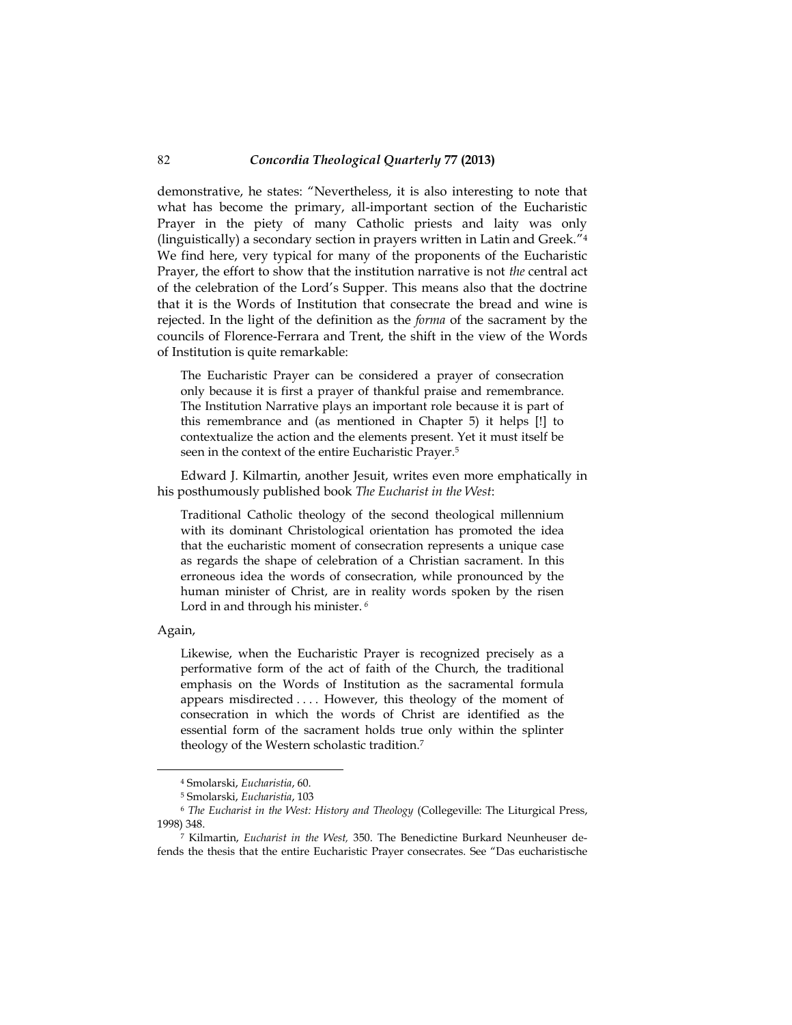demonstrative, he states: "Nevertheless, it is also interesting to note that what has become the primary, all-important section of the Eucharistic Prayer in the piety of many Catholic priests and laity was only (linguistically) a secondary section in prayers written in Latin and Greek." 4 We find here, very typical for many of the proponents of the Eucharistic Prayer, the effort to show that the institution narrative is not *the* central act of the celebration of the Lord's Supper. This means also that the doctrine that it is the Words of Institution that consecrate the bread and wine is rejected. In the light of the definition as the *forma* of the sacrament by the councils of Florence-Ferrara and Trent, the shift in the view of the Words of Institution is quite remarkable:

The Eucharistic Prayer can be considered a prayer of consecration only because it is first a prayer of thankful praise and remembrance. The Institution Narrative plays an important role because it is part of this remembrance and (as mentioned in Chapter 5) it helps [!] to contextualize the action and the elements present. Yet it must itself be seen in the context of the entire Eucharistic Prayer.<sup>5</sup>

Edward J. Kilmartin, another Jesuit, writes even more emphatically in his posthumously published book *The Eucharist in the West*:

Traditional Catholic theology of the second theological millennium with its dominant Christological orientation has promoted the idea that the eucharistic moment of consecration represents a unique case as regards the shape of celebration of a Christian sacrament. In this erroneous idea the words of consecration, while pronounced by the human minister of Christ, are in reality words spoken by the risen Lord in and through his minister. *<sup>6</sup>*

Again,

-

Likewise, when the Eucharistic Prayer is recognized precisely as a performative form of the act of faith of the Church, the traditional emphasis on the Words of Institution as the sacramental formula appears misdirected . . . . However, this theology of the moment of consecration in which the words of Christ are identified as the essential form of the sacrament holds true only within the splinter theology of the Western scholastic tradition.<sup>7</sup>

<sup>4</sup> Smolarski, *Eucharistia*, 60.

<sup>5</sup> Smolarski, *Eucharistia*, 103

<sup>6</sup> *The Eucharist in the West: History and Theology* (Collegeville: The Liturgical Press, 1998) 348.

<sup>7</sup> Kilmartin, *Eucharist in the West,* 350. The Benedictine Burkard Neunheuser defends the thesis that the entire Eucharistic Prayer consecrates. See "Das eucharistische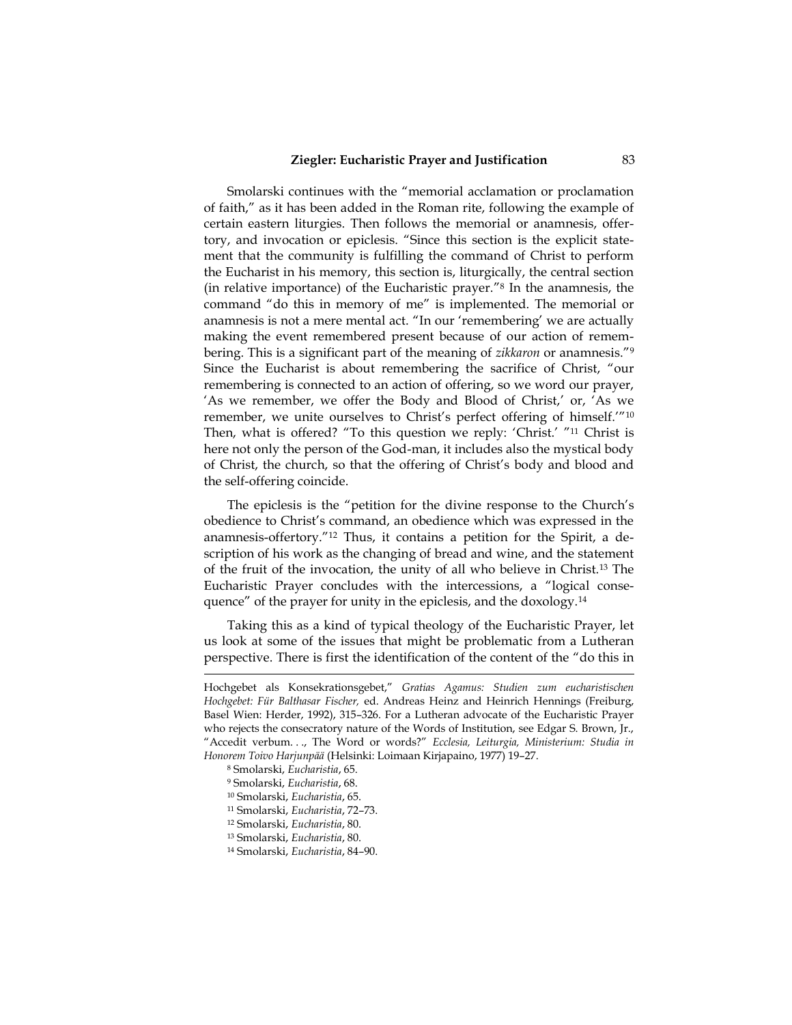Smolarski continues with the "memorial acclamation or proclamation of faith," as it has been added in the Roman rite, following the example of certain eastern liturgies. Then follows the memorial or anamnesis, offertory, and invocation or epiclesis. "Since this section is the explicit statement that the community is fulfilling the command of Christ to perform the Eucharist in his memory, this section is, liturgically, the central section (in relative importance) of the Eucharistic prayer." 8 In the anamnesis, the command "do this in memory of me" is implemented. The memorial or anamnesis is not a mere mental act. "In our 'remembering' we are actually making the event remembered present because of our action of remembering. This is a significant part of the meaning of *zikkaron* or anamnesis." 9 Since the Eucharist is about remembering the sacrifice of Christ, "our remembering is connected to an action of offering, so we word our prayer, 'As we remember, we offer the Body and Blood of Christ,' or, 'As we remember, we unite ourselves to Christ's perfect offering of himself.'" 10 Then, what is offered? "To this question we reply: 'Christ.' " <sup>11</sup> Christ is here not only the person of the God-man, it includes also the mystical body of Christ, the church, so that the offering of Christ's body and blood and the self-offering coincide.

The epiclesis is the "petition for the divine response to the Church's obedience to Christ's command, an obedience which was expressed in the anamnesis-offertory." 12 Thus, it contains a petition for the Spirit, a description of his work as the changing of bread and wine, and the statement of the fruit of the invocation, the unity of all who believe in Christ.13 The Eucharistic Prayer concludes with the intercessions, a "logical consequence" of the prayer for unity in the epiclesis, and the doxology.<sup>14</sup>

Taking this as a kind of typical theology of the Eucharistic Prayer, let us look at some of the issues that might be problematic from a Lutheran perspective. There is first the identification of the content of the "do this in

Hochgebet als Konsekrationsgebet," *Gratias Agamus: Studien zum eucharistischen Hochgebet: Für Balthasar Fischer,* ed. Andreas Heinz and Heinrich Hennings (Freiburg, Basel Wien: Herder, 1992), 315–326. For a Lutheran advocate of the Eucharistic Prayer who rejects the consecratory nature of the Words of Institution, see Edgar S. Brown, Jr., "Accedit verbum. . ., The Word or words?" *Ecclesia, Leiturgia, Ministerium: Studia in Honorem Toivo Harjunpää* (Helsinki: Loimaan Kirjapaino, 1977) 19–27.

<sup>8</sup> Smolarski, *Eucharistia*, 65.

<sup>9</sup> Smolarski, *Eucharistia*, 68.

<sup>10</sup> Smolarski, *Eucharistia*, 65.

<sup>11</sup> Smolarski, *Eucharistia*, 72–73.

<sup>12</sup> Smolarski, *Eucharistia*, 80.

<sup>13</sup> Smolarski, *Eucharistia*, 80.

<sup>14</sup> Smolarski, *Eucharistia*, 84–90.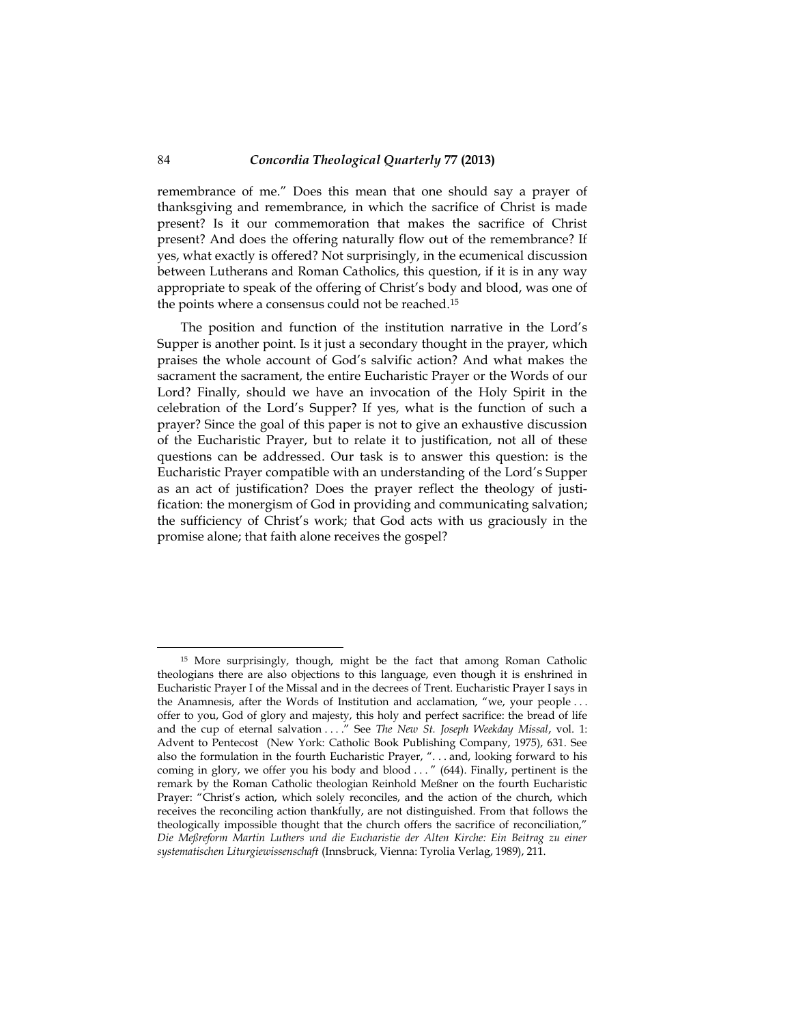remembrance of me." Does this mean that one should say a prayer of thanksgiving and remembrance, in which the sacrifice of Christ is made present? Is it our commemoration that makes the sacrifice of Christ present? And does the offering naturally flow out of the remembrance? If yes, what exactly is offered? Not surprisingly, in the ecumenical discussion between Lutherans and Roman Catholics, this question, if it is in any way appropriate to speak of the offering of Christ's body and blood, was one of the points where a consensus could not be reached.<sup>15</sup>

The position and function of the institution narrative in the Lord's Supper is another point. Is it just a secondary thought in the prayer, which praises the whole account of God's salvific action? And what makes the sacrament the sacrament, the entire Eucharistic Prayer or the Words of our Lord? Finally, should we have an invocation of the Holy Spirit in the celebration of the Lord's Supper? If yes, what is the function of such a prayer? Since the goal of this paper is not to give an exhaustive discussion of the Eucharistic Prayer, but to relate it to justification, not all of these questions can be addressed. Our task is to answer this question: is the Eucharistic Prayer compatible with an understanding of the Lord's Supper as an act of justification? Does the prayer reflect the theology of justification: the monergism of God in providing and communicating salvation; the sufficiency of Christ's work; that God acts with us graciously in the promise alone; that faith alone receives the gospel?

<sup>15</sup> More surprisingly, though, might be the fact that among Roman Catholic theologians there are also objections to this language, even though it is enshrined in Eucharistic Prayer I of the Missal and in the decrees of Trent. Eucharistic Prayer I says in the Anamnesis, after the Words of Institution and acclamation, "we, your people . . . offer to you, God of glory and majesty, this holy and perfect sacrifice: the bread of life and the cup of eternal salvation . . . ." See *The New St. Joseph Weekday Missal*, vol. 1: Advent to Pentecost (New York: Catholic Book Publishing Company, 1975), 631. See also the formulation in the fourth Eucharistic Prayer, ". . . and, looking forward to his coming in glory, we offer you his body and blood ..." (644). Finally, pertinent is the remark by the Roman Catholic theologian Reinhold Meßner on the fourth Eucharistic Prayer: "Christ's action, which solely reconciles, and the action of the church, which receives the reconciling action thankfully, are not distinguished. From that follows the theologically impossible thought that the church offers the sacrifice of reconciliation," *Die Meßreform Martin Luthers und die Eucharistie der Alten Kirche: Ein Beitrag zu einer systematischen Liturgiewissenschaft* (Innsbruck, Vienna: Tyrolia Verlag, 1989), 211.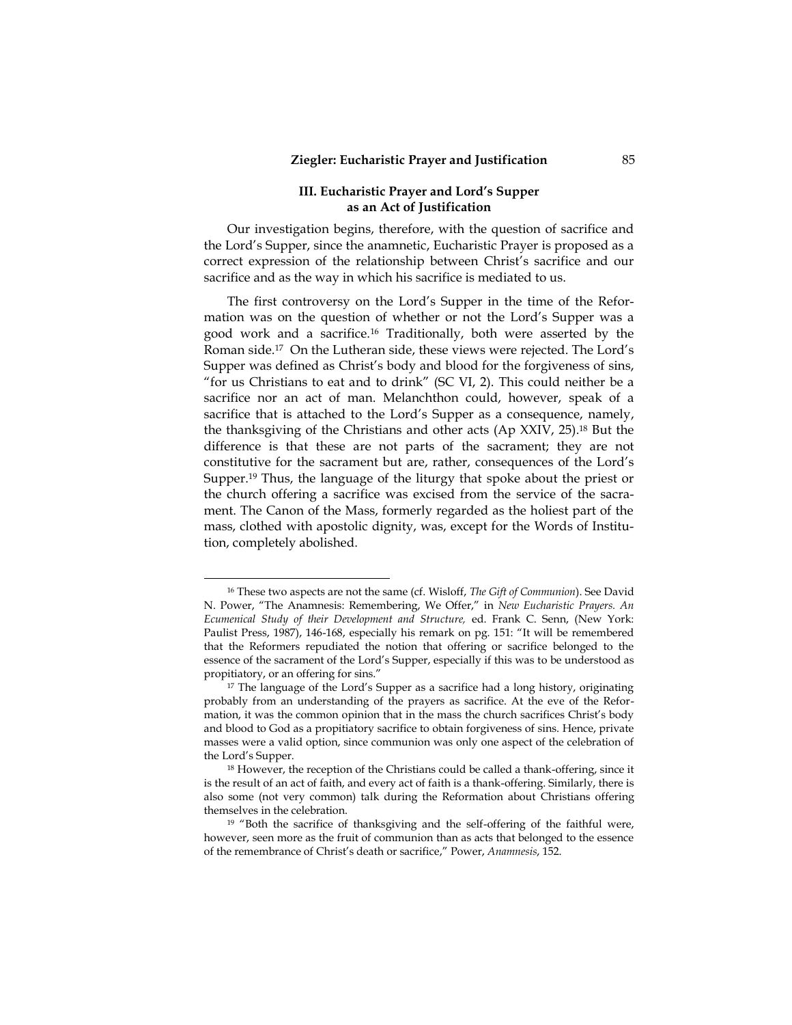#### **III. Eucharistic Prayer and Lord's Supper as an Act of Justification**

Our investigation begins, therefore, with the question of sacrifice and the Lord's Supper, since the anamnetic, Eucharistic Prayer is proposed as a correct expression of the relationship between Christ's sacrifice and our sacrifice and as the way in which his sacrifice is mediated to us.

The first controversy on the Lord's Supper in the time of the Reformation was on the question of whether or not the Lord's Supper was a good work and a sacrifice.16 Traditionally, both were asserted by the Roman side.17 On the Lutheran side, these views were rejected. The Lord's Supper was defined as Christ's body and blood for the forgiveness of sins, "for us Christians to eat and to drink" (SC VI, 2). This could neither be a sacrifice nor an act of man. Melanchthon could, however, speak of a sacrifice that is attached to the Lord's Supper as a consequence, namely, the thanksgiving of the Christians and other acts (Ap XXIV, 25).18 But the difference is that these are not parts of the sacrament; they are not constitutive for the sacrament but are, rather, consequences of the Lord's Supper.19 Thus, the language of the liturgy that spoke about the priest or the church offering a sacrifice was excised from the service of the sacrament. The Canon of the Mass, formerly regarded as the holiest part of the mass, clothed with apostolic dignity, was, except for the Words of Institution, completely abolished.

<sup>16</sup> These two aspects are not the same (cf. Wisloff, *The Gift of Communion*). See David N. Power, "The Anamnesis: Remembering, We Offer," in *New Eucharistic Prayers. An Ecumenical Study of their Development and Structure,* ed. Frank C. Senn, (New York: Paulist Press, 1987), 146-168, especially his remark on pg. 151: "It will be remembered that the Reformers repudiated the notion that offering or sacrifice belonged to the essence of the sacrament of the Lord's Supper, especially if this was to be understood as propitiatory, or an offering for sins."

<sup>17</sup> The language of the Lord's Supper as a sacrifice had a long history, originating probably from an understanding of the prayers as sacrifice. At the eve of the Reformation, it was the common opinion that in the mass the church sacrifices Christ's body and blood to God as a propitiatory sacrifice to obtain forgiveness of sins. Hence, private masses were a valid option, since communion was only one aspect of the celebration of the Lord's Supper.

<sup>&</sup>lt;sup>18</sup> However, the reception of the Christians could be called a thank-offering, since it is the result of an act of faith, and every act of faith is a thank-offering. Similarly, there is also some (not very common) talk during the Reformation about Christians offering themselves in the celebration.

<sup>&</sup>lt;sup>19</sup> "Both the sacrifice of thanksgiving and the self-offering of the faithful were, however, seen more as the fruit of communion than as acts that belonged to the essence of the remembrance of Christ's death or sacrifice," Power, *Anamnesis*, 152.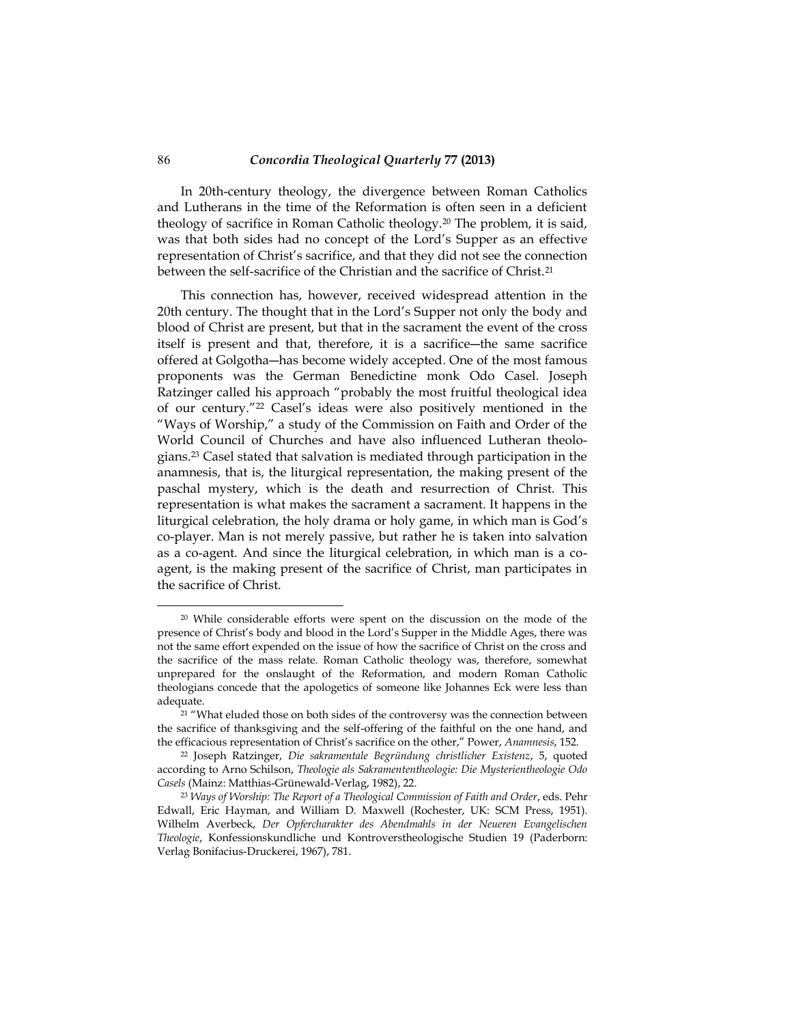In 20th-century theology, the divergence between Roman Catholics and Lutherans in the time of the Reformation is often seen in a deficient theology of sacrifice in Roman Catholic theology.20 The problem, it is said, was that both sides had no concept of the Lord's Supper as an effective representation of Christ's sacrifice, and that they did not see the connection between the self-sacrifice of the Christian and the sacrifice of Christ.<sup>21</sup>

This connection has, however, received widespread attention in the 20th century. The thought that in the Lord's Supper not only the body and blood of Christ are present, but that in the sacrament the event of the cross itself is present and that, therefore, it is a sacrifice―the same sacrifice offered at Golgotha―has become widely accepted. One of the most famous proponents was the German Benedictine monk Odo Casel. Joseph Ratzinger called his approach "probably the most fruitful theological idea of our century." <sup>22</sup> Casel's ideas were also positively mentioned in the "Ways of Worship," a study of the Commission on Faith and Order of the World Council of Churches and have also influenced Lutheran theologians.23 Casel stated that salvation is mediated through participation in the anamnesis, that is, the liturgical representation, the making present of the paschal mystery, which is the death and resurrection of Christ. This representation is what makes the sacrament a sacrament. It happens in the liturgical celebration, the holy drama or holy game, in which man is God's co-player. Man is not merely passive, but rather he is taken into salvation as a co-agent. And since the liturgical celebration, in which man is a coagent, is the making present of the sacrifice of Christ, man participates in the sacrifice of Christ.

<sup>20</sup> While considerable efforts were spent on the discussion on the mode of the presence of Christ's body and blood in the Lord's Supper in the Middle Ages, there was not the same effort expended on the issue of how the sacrifice of Christ on the cross and the sacrifice of the mass relate. Roman Catholic theology was, therefore, somewhat unprepared for the onslaught of the Reformation, and modern Roman Catholic theologians concede that the apologetics of someone like Johannes Eck were less than adequate.

<sup>&</sup>lt;sup>21</sup> "What eluded those on both sides of the controversy was the connection between the sacrifice of thanksgiving and the self-offering of the faithful on the one hand, and the efficacious representation of Christ's sacrifice on the other," Power, *Anamnesis*, 152.

<sup>22</sup> Joseph Ratzinger, *Die sakramentale Begründung christlicher Existenz*, 5, quoted according to Arno Schilson, *Theologie als Sakramententheologie: Die Mysterientheologie Odo Casels* (Mainz: Matthias-Grünewald-Verlag, 1982), 22.

<sup>23</sup> *Ways of Worship: The Report of a Theological Commission of Faith and Order*, eds. Pehr Edwall, Eric Hayman, and William D. Maxwell (Rochester, UK: SCM Press, 1951). Wilhelm Averbeck, *Der Opfercharakter des Abendmahls in der Neueren Evangelischen Theologie*, Konfessionskundliche und Kontroverstheologische Studien 19 (Paderborn: Verlag Bonifacius-Druckerei, 1967), 781.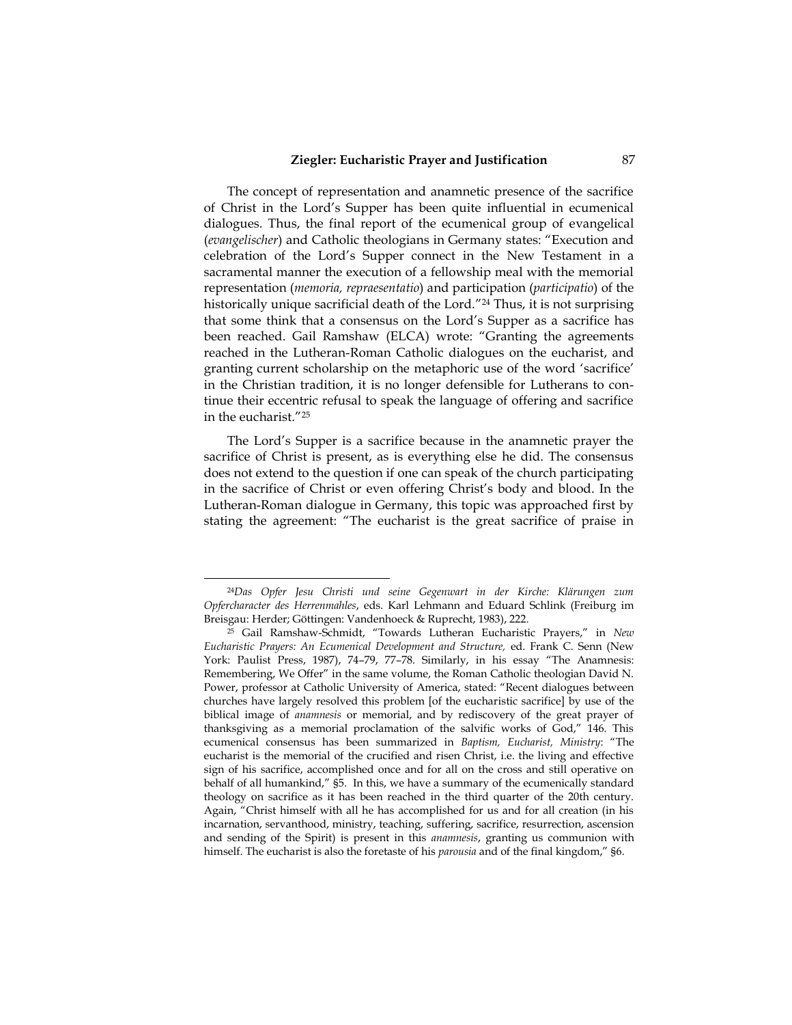The concept of representation and anamnetic presence of the sacrifice of Christ in the Lord's Supper has been quite influential in ecumenical dialogues. Thus, the final report of the ecumenical group of evangelical (*evangelischer*) and Catholic theologians in Germany states: "Execution and celebration of the Lord's Supper connect in the New Testament in a sacramental manner the execution of a fellowship meal with the memorial representation (*memoria, repraesentatio*) and participation (*participatio*) of the historically unique sacrificial death of the Lord." <sup>24</sup> Thus, it is not surprising that some think that a consensus on the Lord's Supper as a sacrifice has been reached. Gail Ramshaw (ELCA) wrote: "Granting the agreements reached in the Lutheran-Roman Catholic dialogues on the eucharist, and granting current scholarship on the metaphoric use of the word 'sacrifice' in the Christian tradition, it is no longer defensible for Lutherans to continue their eccentric refusal to speak the language of offering and sacrifice in the eucharist." 25

The Lord's Supper is a sacrifice because in the anamnetic prayer the sacrifice of Christ is present, as is everything else he did. The consensus does not extend to the question if one can speak of the church participating in the sacrifice of Christ or even offering Christ's body and blood. In the Lutheran-Roman dialogue in Germany, this topic was approached first by stating the agreement: "The eucharist is the great sacrifice of praise in

<sup>24</sup>*Das Opfer Jesu Christi und seine Gegenwart in der Kirche: Klärungen zum Opfercharacter des Herrenmahles*, eds. Karl Lehmann and Eduard Schlink (Freiburg im Breisgau: Herder; Göttingen: Vandenhoeck & Ruprecht, 1983), 222.

<sup>25</sup> Gail Ramshaw-Schmidt, "Towards Lutheran Eucharistic Prayers," in *New Eucharistic Prayers: An Ecumenical Development and Structure,* ed. Frank C. Senn (New York: Paulist Press, 1987), 74–79, 77–78. Similarly, in his essay "The Anamnesis: Remembering, We Offer" in the same volume, the Roman Catholic theologian David N. Power, professor at Catholic University of America, stated: "Recent dialogues between churches have largely resolved this problem [of the eucharistic sacrifice] by use of the biblical image of *anamnesis* or memorial, and by rediscovery of the great prayer of thanksgiving as a memorial proclamation of the salvific works of God," 146. This ecumenical consensus has been summarized in *Baptism, Eucharist, Ministry*: "The eucharist is the memorial of the crucified and risen Christ, i.e. the living and effective sign of his sacrifice, accomplished once and for all on the cross and still operative on behalf of all humankind," §5. In this, we have a summary of the ecumenically standard theology on sacrifice as it has been reached in the third quarter of the 20th century. Again, "Christ himself with all he has accomplished for us and for all creation (in his incarnation, servanthood, ministry, teaching, suffering, sacrifice, resurrection, ascension and sending of the Spirit) is present in this *anamnesis*, granting us communion with himself. The eucharist is also the foretaste of his *parousia* and of the final kingdom," §6.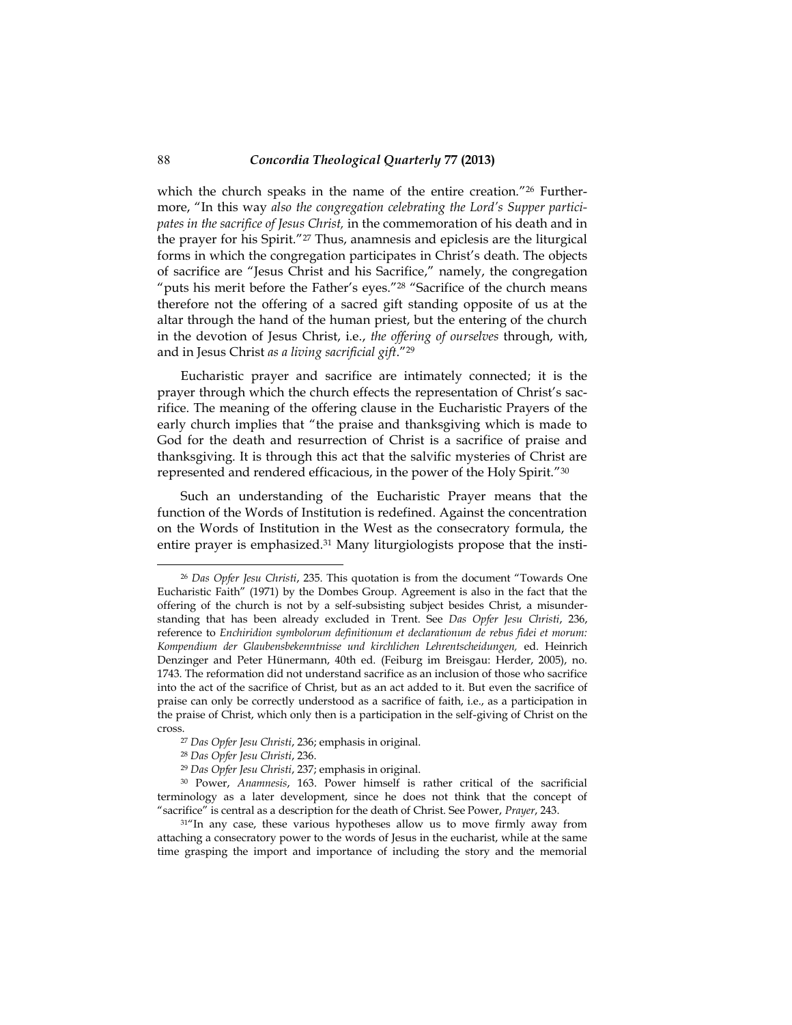which the church speaks in the name of the entire creation." 26 Furthermore, "In this way *also the congregation celebrating the Lord's Supper participates in the sacrifice of Jesus Christ,* in the commemoration of his death and in the prayer for his Spirit." <sup>27</sup> Thus, anamnesis and epiclesis are the liturgical forms in which the congregation participates in Christ's death. The objects of sacrifice are "Jesus Christ and his Sacrifice," namely, the congregation "puts his merit before the Father's eyes." <sup>28</sup> "Sacrifice of the church means therefore not the offering of a sacred gift standing opposite of us at the altar through the hand of the human priest, but the entering of the church in the devotion of Jesus Christ, i.e., *the offering of ourselves* through, with, and in Jesus Christ *as a living sacrificial gift*." 29

Eucharistic prayer and sacrifice are intimately connected; it is the prayer through which the church effects the representation of Christ's sacrifice. The meaning of the offering clause in the Eucharistic Prayers of the early church implies that "the praise and thanksgiving which is made to God for the death and resurrection of Christ is a sacrifice of praise and thanksgiving. It is through this act that the salvific mysteries of Christ are represented and rendered efficacious, in the power of the Holy Spirit." 30

Such an understanding of the Eucharistic Prayer means that the function of the Words of Institution is redefined. Against the concentration on the Words of Institution in the West as the consecratory formula, the entire prayer is emphasized.<sup>31</sup> Many liturgiologists propose that the insti-

j

<sup>26</sup> *Das Opfer Jesu Christi*, 235. This quotation is from the document "Towards One Eucharistic Faith" (1971) by the Dombes Group. Agreement is also in the fact that the offering of the church is not by a self-subsisting subject besides Christ, a misunderstanding that has been already excluded in Trent. See *Das Opfer Jesu Christi*, 236, reference to *Enchiridion symbolorum definitionum et declarationum de rebus fidei et morum: Kompendium der Glaubensbekenntnisse und kirchlichen Lehrentscheidungen,* ed. Heinrich Denzinger and Peter Hünermann, 40th ed. (Feiburg im Breisgau: Herder, 2005), no. 1743. The reformation did not understand sacrifice as an inclusion of those who sacrifice into the act of the sacrifice of Christ, but as an act added to it. But even the sacrifice of praise can only be correctly understood as a sacrifice of faith, i.e., as a participation in the praise of Christ, which only then is a participation in the self-giving of Christ on the cross.

<sup>27</sup> *Das Opfer Jesu Christi*, 236; emphasis in original.

<sup>28</sup> *Das Opfer Jesu Christi*, 236.

<sup>29</sup> *Das Opfer Jesu Christi*, 237; emphasis in original.

<sup>30</sup> Power, *Anamnesis*, 163. Power himself is rather critical of the sacrificial terminology as a later development, since he does not think that the concept of "sacrifice" is central as a description for the death of Christ. See Power, *Prayer*, 243.

<sup>&</sup>lt;sup>31"</sup>In any case, these various hypotheses allow us to move firmly away from attaching a consecratory power to the words of Jesus in the eucharist, while at the same time grasping the import and importance of including the story and the memorial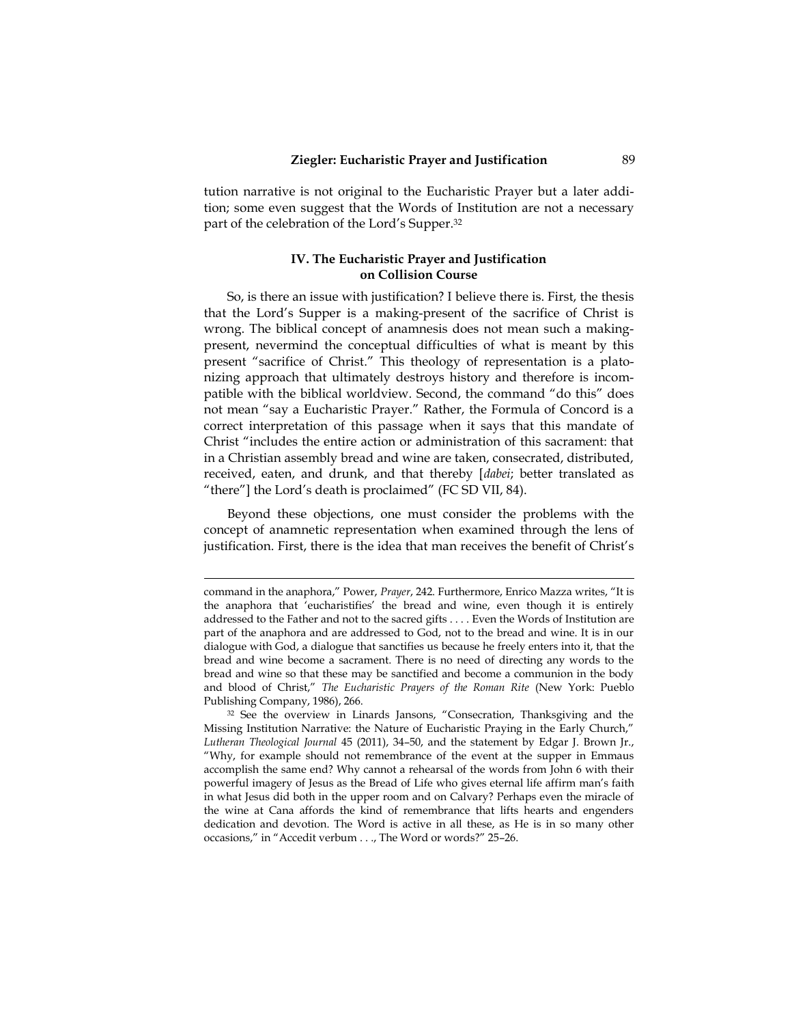tution narrative is not original to the Eucharistic Prayer but a later addition; some even suggest that the Words of Institution are not a necessary part of the celebration of the Lord's Supper.<sup>32</sup>

#### **IV. The Eucharistic Prayer and Justification on Collision Course**

So, is there an issue with justification? I believe there is. First, the thesis that the Lord's Supper is a making-present of the sacrifice of Christ is wrong. The biblical concept of anamnesis does not mean such a makingpresent, nevermind the conceptual difficulties of what is meant by this present "sacrifice of Christ." This theology of representation is a platonizing approach that ultimately destroys history and therefore is incompatible with the biblical worldview. Second, the command "do this" does not mean "say a Eucharistic Prayer." Rather, the Formula of Concord is a correct interpretation of this passage when it says that this mandate of Christ "includes the entire action or administration of this sacrament: that in a Christian assembly bread and wine are taken, consecrated, distributed, received, eaten, and drunk, and that thereby [*dabei*; better translated as "there"] the Lord's death is proclaimed" (FC SD VII, 84).

Beyond these objections, one must consider the problems with the concept of anamnetic representation when examined through the lens of justification. First, there is the idea that man receives the benefit of Christ's

command in the anaphora," Power, *Prayer*, 242. Furthermore, Enrico Mazza writes, "It is the anaphora that 'eucharistifies' the bread and wine, even though it is entirely addressed to the Father and not to the sacred gifts . . . . Even the Words of Institution are part of the anaphora and are addressed to God, not to the bread and wine. It is in our dialogue with God, a dialogue that sanctifies us because he freely enters into it, that the bread and wine become a sacrament. There is no need of directing any words to the bread and wine so that these may be sanctified and become a communion in the body and blood of Christ," *The Eucharistic Prayers of the Roman Rite* (New York: Pueblo Publishing Company, 1986), 266.

 $32$  See the overview in Linards Jansons, "Consecration, Thanksgiving and the Missing Institution Narrative: the Nature of Eucharistic Praying in the Early Church," *Lutheran Theological Journal* 45 (2011), 34–50, and the statement by Edgar J. Brown Jr., "Why, for example should not remembrance of the event at the supper in Emmaus accomplish the same end? Why cannot a rehearsal of the words from John 6 with their powerful imagery of Jesus as the Bread of Life who gives eternal life affirm man's faith in what Jesus did both in the upper room and on Calvary? Perhaps even the miracle of the wine at Cana affords the kind of remembrance that lifts hearts and engenders dedication and devotion. The Word is active in all these, as He is in so many other occasions," in "Accedit verbum . . ., The Word or words?" 25–26.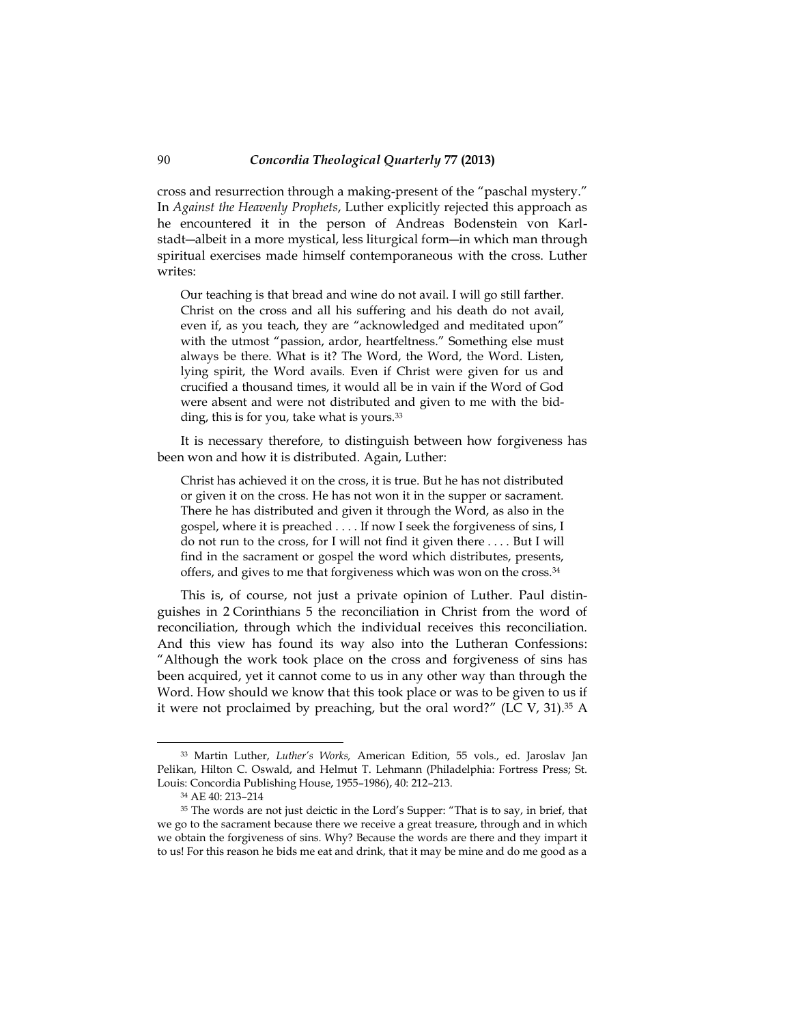cross and resurrection through a making-present of the "paschal mystery." In *Against the Heavenly Prophets*, Luther explicitly rejected this approach as he encountered it in the person of Andreas Bodenstein von Karlstadt―albeit in a more mystical, less liturgical form―in which man through spiritual exercises made himself contemporaneous with the cross. Luther writes:

Our teaching is that bread and wine do not avail. I will go still farther. Christ on the cross and all his suffering and his death do not avail, even if, as you teach, they are "acknowledged and meditated upon" with the utmost "passion, ardor, heartfeltness." Something else must always be there. What is it? The Word, the Word, the Word. Listen, lying spirit, the Word avails. Even if Christ were given for us and crucified a thousand times, it would all be in vain if the Word of God were absent and were not distributed and given to me with the bidding, this is for you, take what is yours.<sup>33</sup>

It is necessary therefore, to distinguish between how forgiveness has been won and how it is distributed. Again, Luther:

Christ has achieved it on the cross, it is true. But he has not distributed or given it on the cross. He has not won it in the supper or sacrament. There he has distributed and given it through the Word, as also in the gospel, where it is preached . . . . If now I seek the forgiveness of sins, I do not run to the cross, for I will not find it given there . . . . But I will find in the sacrament or gospel the word which distributes, presents, offers, and gives to me that forgiveness which was won on the cross.<sup>34</sup>

This is, of course, not just a private opinion of Luther. Paul distinguishes in 2 Corinthians 5 the reconciliation in Christ from the word of reconciliation, through which the individual receives this reconciliation. And this view has found its way also into the Lutheran Confessions: "Although the work took place on the cross and forgiveness of sins has been acquired, yet it cannot come to us in any other way than through the Word. How should we know that this took place or was to be given to us if it were not proclaimed by preaching, but the oral word?" (LC V, 31). $35$  A

j

<sup>33</sup> Martin Luther, *Luther's Works,* American Edition, 55 vols., ed. Jaroslav Jan Pelikan, Hilton C. Oswald, and Helmut T. Lehmann (Philadelphia: Fortress Press; St. Louis: Concordia Publishing House, 1955–1986), 40: 212–213.

<sup>34</sup> AE 40: 213–214

<sup>&</sup>lt;sup>35</sup> The words are not just deictic in the Lord's Supper: "That is to say, in brief, that we go to the sacrament because there we receive a great treasure, through and in which we obtain the forgiveness of sins. Why? Because the words are there and they impart it to us! For this reason he bids me eat and drink, that it may be mine and do me good as a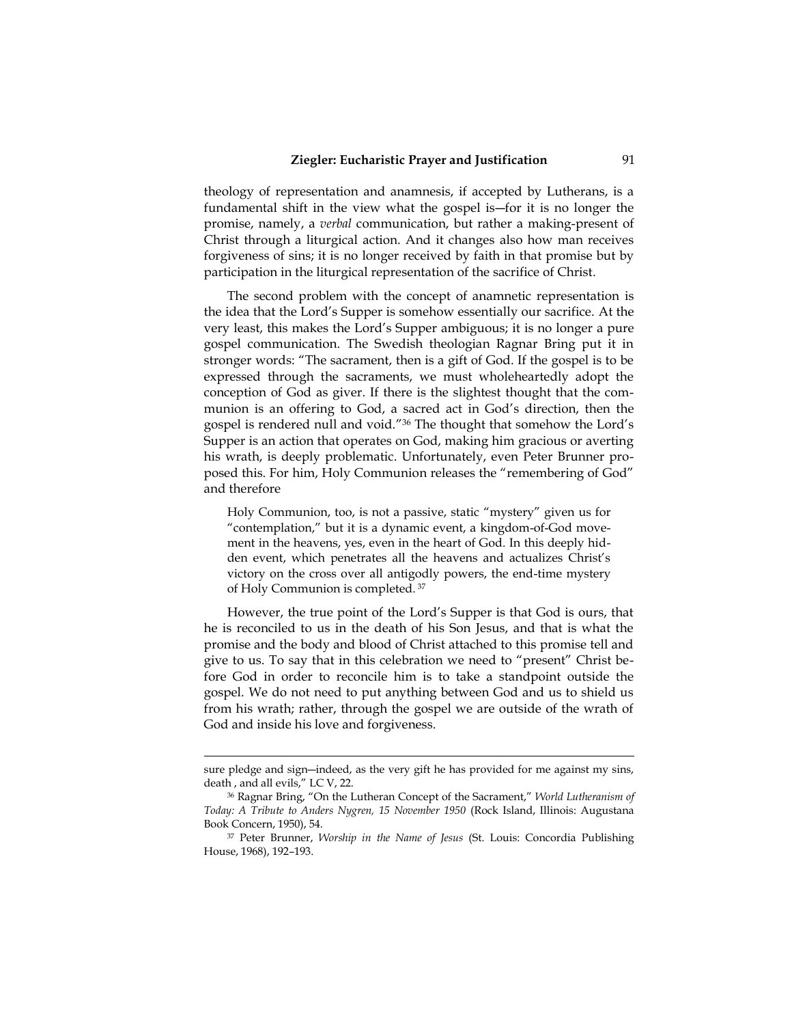theology of representation and anamnesis, if accepted by Lutherans, is a fundamental shift in the view what the gospel is―for it is no longer the promise, namely, a *verbal* communication, but rather a making-present of Christ through a liturgical action. And it changes also how man receives forgiveness of sins; it is no longer received by faith in that promise but by participation in the liturgical representation of the sacrifice of Christ.

The second problem with the concept of anamnetic representation is the idea that the Lord's Supper is somehow essentially our sacrifice. At the very least, this makes the Lord's Supper ambiguous; it is no longer a pure gospel communication. The Swedish theologian Ragnar Bring put it in stronger words: "The sacrament, then is a gift of God. If the gospel is to be expressed through the sacraments, we must wholeheartedly adopt the conception of God as giver. If there is the slightest thought that the communion is an offering to God, a sacred act in God's direction, then the gospel is rendered null and void." <sup>36</sup> The thought that somehow the Lord's Supper is an action that operates on God, making him gracious or averting his wrath, is deeply problematic. Unfortunately, even Peter Brunner proposed this. For him, Holy Communion releases the "remembering of God" and therefore

Holy Communion, too, is not a passive, static "mystery" given us for "contemplation," but it is a dynamic event, a kingdom-of-God movement in the heavens, yes, even in the heart of God. In this deeply hidden event, which penetrates all the heavens and actualizes Christ's victory on the cross over all antigodly powers, the end-time mystery of Holy Communion is completed. 37

However, the true point of the Lord's Supper is that God is ours, that he is reconciled to us in the death of his Son Jesus, and that is what the promise and the body and blood of Christ attached to this promise tell and give to us. To say that in this celebration we need to "present" Christ before God in order to reconcile him is to take a standpoint outside the gospel. We do not need to put anything between God and us to shield us from his wrath; rather, through the gospel we are outside of the wrath of God and inside his love and forgiveness.

sure pledge and sign―indeed, as the very gift he has provided for me against my sins, death , and all evils," LC V, 22.

<sup>36</sup> Ragnar Bring, "On the Lutheran Concept of the Sacrament," *World Lutheranism of Today: A Tribute to Anders Nygren, 15 November 1950* (Rock Island, Illinois: Augustana Book Concern, 1950), 54.

<sup>37</sup> Peter Brunner, *Worship in the Name of Jesus* (St. Louis: Concordia Publishing House, 1968), 192–193.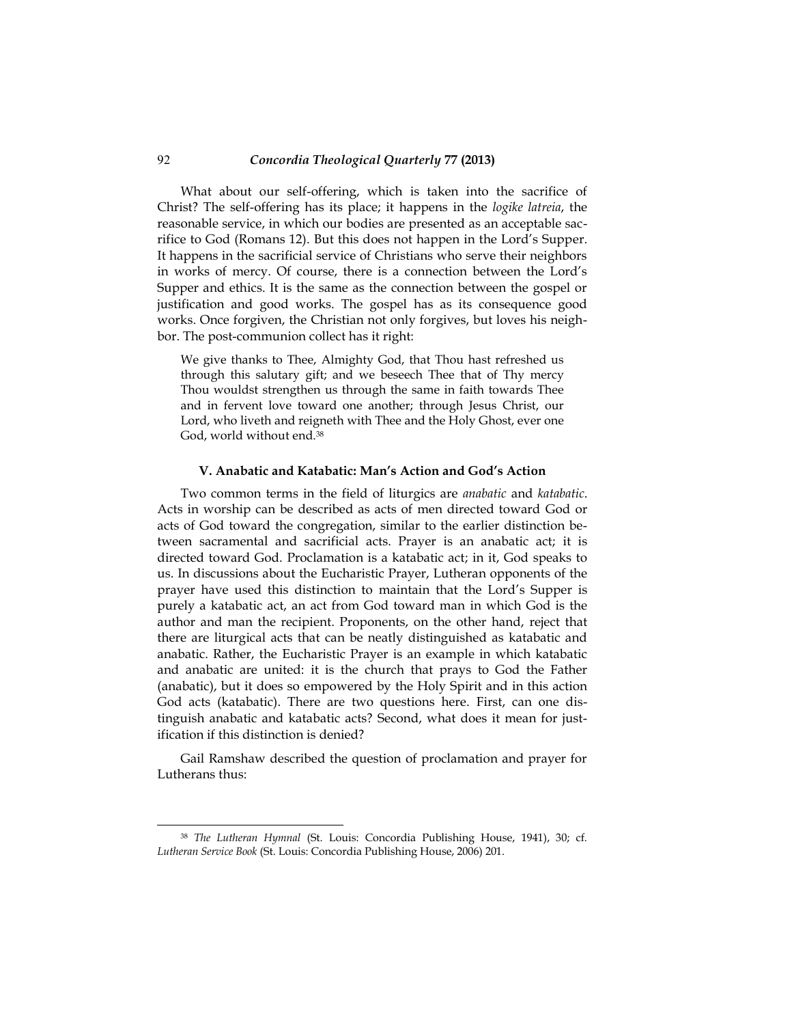What about our self-offering, which is taken into the sacrifice of Christ? The self-offering has its place; it happens in the *logike latreia*, the reasonable service, in which our bodies are presented as an acceptable sacrifice to God (Romans 12). But this does not happen in the Lord's Supper. It happens in the sacrificial service of Christians who serve their neighbors in works of mercy. Of course, there is a connection between the Lord's Supper and ethics. It is the same as the connection between the gospel or justification and good works. The gospel has as its consequence good works. Once forgiven, the Christian not only forgives, but loves his neighbor. The post-communion collect has it right:

We give thanks to Thee, Almighty God, that Thou hast refreshed us through this salutary gift; and we beseech Thee that of Thy mercy Thou wouldst strengthen us through the same in faith towards Thee and in fervent love toward one another; through Jesus Christ, our Lord, who liveth and reigneth with Thee and the Holy Ghost, ever one God, world without end.<sup>38</sup>

#### **V. Anabatic and Katabatic: Man's Action and God's Action**

Two common terms in the field of liturgics are *anabatic* and *katabatic*. Acts in worship can be described as acts of men directed toward God or acts of God toward the congregation, similar to the earlier distinction between sacramental and sacrificial acts. Prayer is an anabatic act; it is directed toward God. Proclamation is a katabatic act; in it, God speaks to us. In discussions about the Eucharistic Prayer, Lutheran opponents of the prayer have used this distinction to maintain that the Lord's Supper is purely a katabatic act, an act from God toward man in which God is the author and man the recipient. Proponents, on the other hand, reject that there are liturgical acts that can be neatly distinguished as katabatic and anabatic. Rather, the Eucharistic Prayer is an example in which katabatic and anabatic are united: it is the church that prays to God the Father (anabatic), but it does so empowered by the Holy Spirit and in this action God acts (katabatic). There are two questions here. First, can one distinguish anabatic and katabatic acts? Second, what does it mean for justification if this distinction is denied?

Gail Ramshaw described the question of proclamation and prayer for Lutherans thus:

j

<sup>38</sup> *The Lutheran Hymnal* (St. Louis: Concordia Publishing House, 1941), 30; cf. *Lutheran Service Book* (St. Louis: Concordia Publishing House, 2006) 201.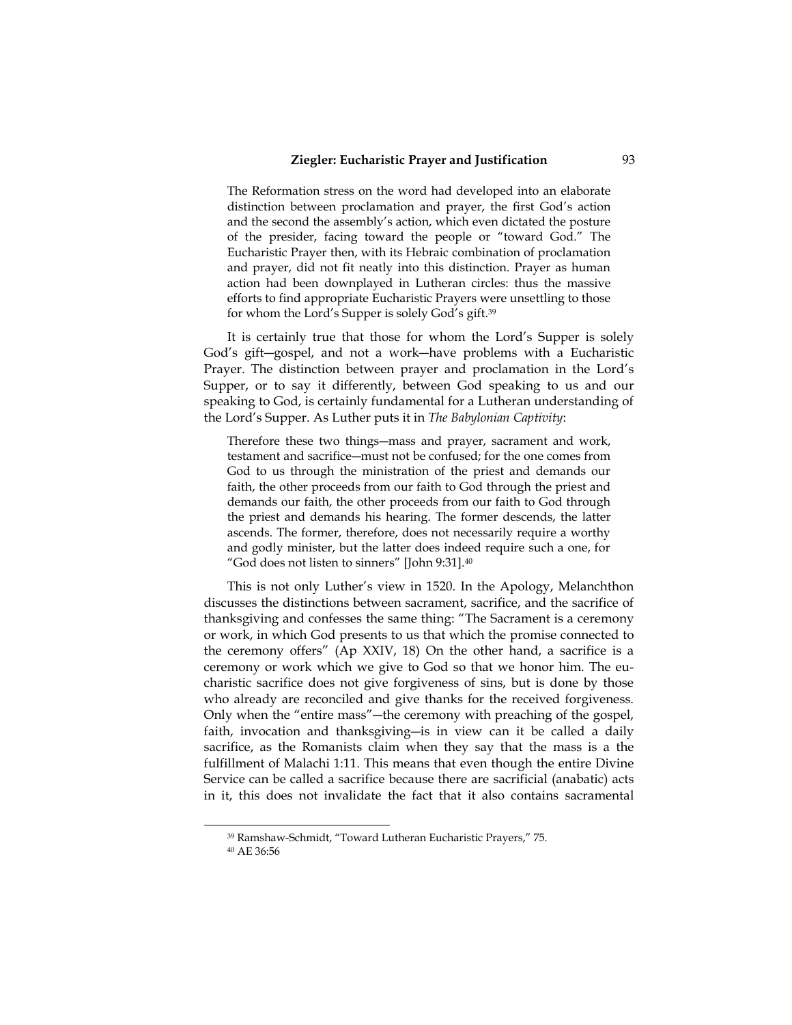The Reformation stress on the word had developed into an elaborate distinction between proclamation and prayer, the first God's action and the second the assembly's action, which even dictated the posture of the presider, facing toward the people or "toward God." The Eucharistic Prayer then, with its Hebraic combination of proclamation and prayer, did not fit neatly into this distinction. Prayer as human action had been downplayed in Lutheran circles: thus the massive efforts to find appropriate Eucharistic Prayers were unsettling to those for whom the Lord's Supper is solely God's gift.<sup>39</sup>

It is certainly true that those for whom the Lord's Supper is solely God's gift―gospel, and not a work―have problems with a Eucharistic Prayer. The distinction between prayer and proclamation in the Lord's Supper, or to say it differently, between God speaking to us and our speaking to God, is certainly fundamental for a Lutheran understanding of the Lord's Supper. As Luther puts it in *The Babylonian Captivity*:

Therefore these two things―mass and prayer, sacrament and work, testament and sacrifice―must not be confused; for the one comes from God to us through the ministration of the priest and demands our faith, the other proceeds from our faith to God through the priest and demands our faith, the other proceeds from our faith to God through the priest and demands his hearing. The former descends, the latter ascends. The former, therefore, does not necessarily require a worthy and godly minister, but the latter does indeed require such a one, for "God does not listen to sinners" [John 9:31].<sup>40</sup>

This is not only Luther's view in 1520. In the Apology, Melanchthon discusses the distinctions between sacrament, sacrifice, and the sacrifice of thanksgiving and confesses the same thing: "The Sacrament is a ceremony or work, in which God presents to us that which the promise connected to the ceremony offers" (Ap XXIV, 18) On the other hand, a sacrifice is a ceremony or work which we give to God so that we honor him. The eucharistic sacrifice does not give forgiveness of sins, but is done by those who already are reconciled and give thanks for the received forgiveness. Only when the "entire mass"―the ceremony with preaching of the gospel, faith, invocation and thanksgiving-is in view can it be called a daily sacrifice, as the Romanists claim when they say that the mass is a the fulfillment of Malachi 1:11. This means that even though the entire Divine Service can be called a sacrifice because there are sacrificial (anabatic) acts in it, this does not invalidate the fact that it also contains sacramental

j

<sup>39</sup> Ramshaw-Schmidt, "Toward Lutheran Eucharistic Prayers," 75.

<sup>40</sup> AE 36:56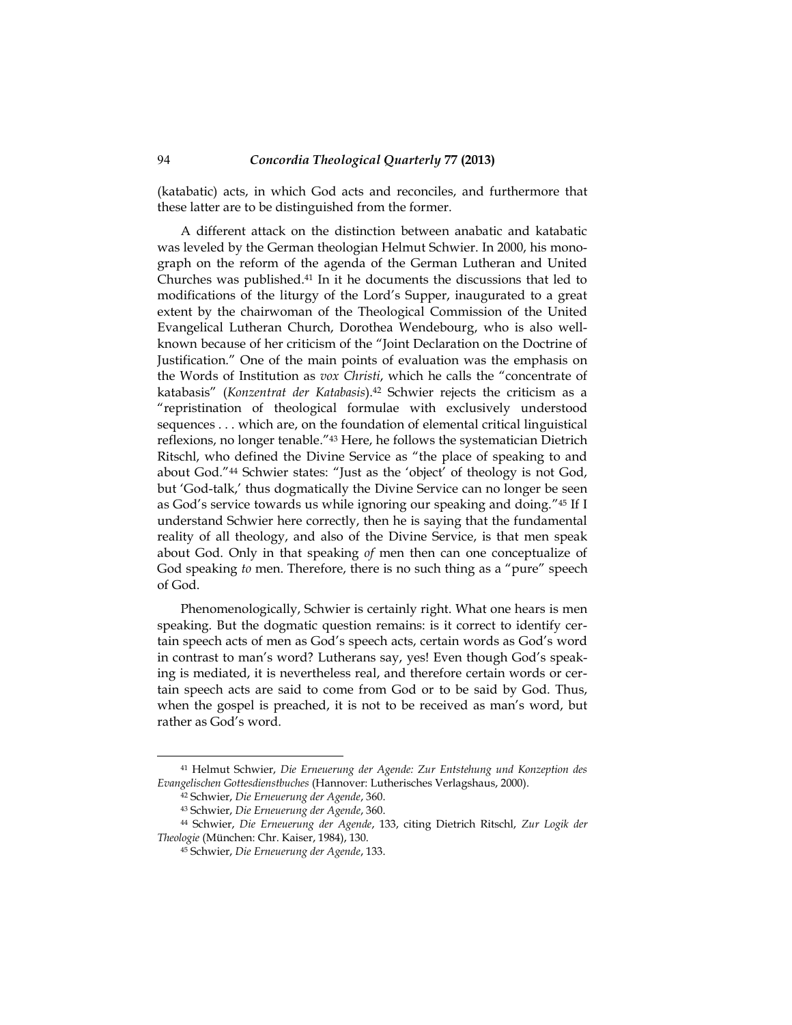(katabatic) acts, in which God acts and reconciles, and furthermore that these latter are to be distinguished from the former.

A different attack on the distinction between anabatic and katabatic was leveled by the German theologian Helmut Schwier. In 2000, his monograph on the reform of the agenda of the German Lutheran and United Churches was published.41 In it he documents the discussions that led to modifications of the liturgy of the Lord's Supper, inaugurated to a great extent by the chairwoman of the Theological Commission of the United Evangelical Lutheran Church, Dorothea Wendebourg, who is also wellknown because of her criticism of the "Joint Declaration on the Doctrine of Justification." One of the main points of evaluation was the emphasis on the Words of Institution as *vox Christi*, which he calls the "concentrate of katabasis" (*Konzentrat der Katabasis*).42 Schwier rejects the criticism as a "repristination of theological formulae with exclusively understood sequences . . . which are, on the foundation of elemental critical linguistical reflexions, no longer tenable."43 Here, he follows the systematician Dietrich Ritschl, who defined the Divine Service as "the place of speaking to and about God."44 Schwier states: "Just as the 'object' of theology is not God, but 'God-talk,' thus dogmatically the Divine Service can no longer be seen as God's service towards us while ignoring our speaking and doing." <sup>45</sup> If I understand Schwier here correctly, then he is saying that the fundamental reality of all theology, and also of the Divine Service, is that men speak about God. Only in that speaking *of* men then can one conceptualize of God speaking *to* men. Therefore, there is no such thing as a "pure" speech of God.

Phenomenologically, Schwier is certainly right. What one hears is men speaking. But the dogmatic question remains: is it correct to identify certain speech acts of men as God's speech acts, certain words as God's word in contrast to man's word? Lutherans say, yes! Even though God's speaking is mediated, it is nevertheless real, and therefore certain words or certain speech acts are said to come from God or to be said by God. Thus, when the gospel is preached, it is not to be received as man's word, but rather as God's word.

<sup>41</sup> Helmut Schwier, *Die Erneuerung der Agende: Zur Entstehung und Konzeption des Evangelischen Gottesdienstbuches* (Hannover: Lutherisches Verlagshaus, 2000).

<sup>42</sup> Schwier, *Die Erneuerung der Agende*, 360.

<sup>43</sup> Schwier, *Die Erneuerung der Agende*, 360.

<sup>44</sup> Schwier, *Die Erneuerung der Agende*, 133, citing Dietrich Ritschl, *Zur Logik der Theologie* (München: Chr. Kaiser, 1984), 130.

<sup>45</sup> Schwier, *Die Erneuerung der Agende*, 133.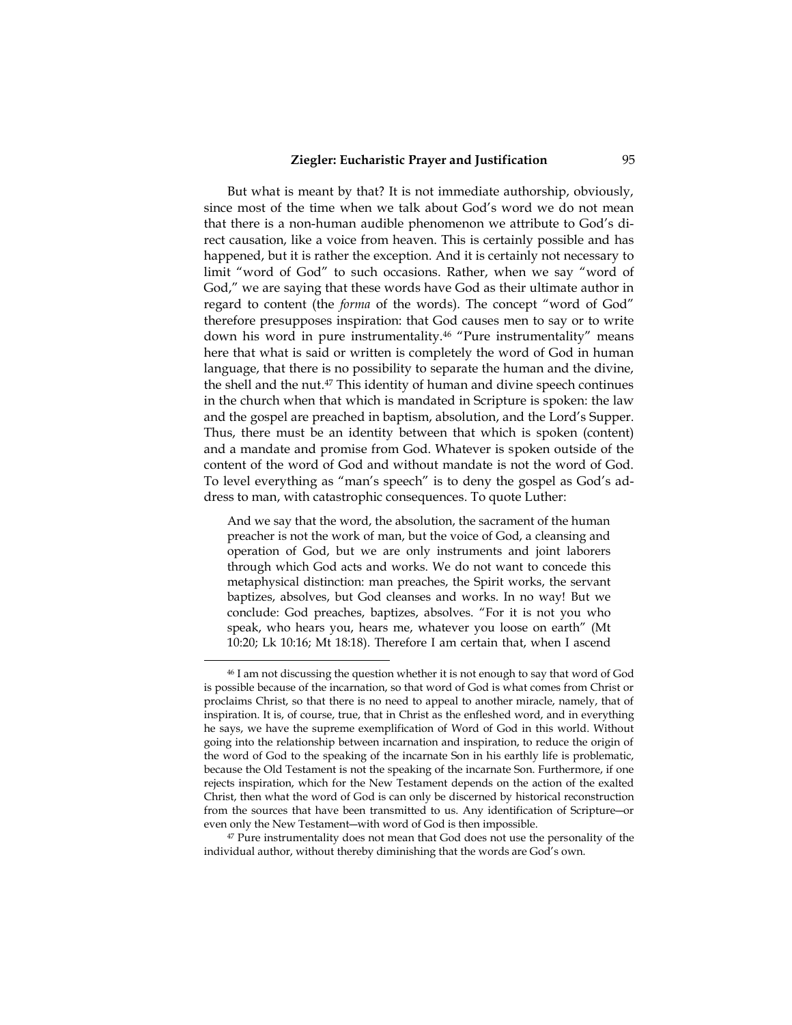But what is meant by that? It is not immediate authorship, obviously, since most of the time when we talk about God's word we do not mean that there is a non-human audible phenomenon we attribute to God's direct causation, like a voice from heaven. This is certainly possible and has happened, but it is rather the exception. And it is certainly not necessary to limit "word of God" to such occasions. Rather, when we say "word of God," we are saying that these words have God as their ultimate author in regard to content (the *forma* of the words). The concept "word of God" therefore presupposes inspiration: that God causes men to say or to write down his word in pure instrumentality.<sup>46</sup> "Pure instrumentality" means here that what is said or written is completely the word of God in human language, that there is no possibility to separate the human and the divine, the shell and the nut.47 This identity of human and divine speech continues in the church when that which is mandated in Scripture is spoken: the law and the gospel are preached in baptism, absolution, and the Lord's Supper. Thus, there must be an identity between that which is spoken (content) and a mandate and promise from God. Whatever is spoken outside of the content of the word of God and without mandate is not the word of God. To level everything as "man's speech" is to deny the gospel as God's address to man, with catastrophic consequences. To quote Luther:

And we say that the word, the absolution, the sacrament of the human preacher is not the work of man, but the voice of God, a cleansing and operation of God, but we are only instruments and joint laborers through which God acts and works. We do not want to concede this metaphysical distinction: man preaches, the Spirit works, the servant baptizes, absolves, but God cleanses and works. In no way! But we conclude: God preaches, baptizes, absolves. "For it is not you who speak, who hears you, hears me, whatever you loose on earth" (Mt 10:20; Lk 10:16; Mt 18:18). Therefore I am certain that, when I ascend

j

<sup>47</sup> Pure instrumentality does not mean that God does not use the personality of the individual author, without thereby diminishing that the words are God's own.

<sup>46</sup> I am not discussing the question whether it is not enough to say that word of God is possible because of the incarnation, so that word of God is what comes from Christ or proclaims Christ, so that there is no need to appeal to another miracle, namely, that of inspiration. It is, of course, true, that in Christ as the enfleshed word, and in everything he says, we have the supreme exemplification of Word of God in this world. Without going into the relationship between incarnation and inspiration, to reduce the origin of the word of God to the speaking of the incarnate Son in his earthly life is problematic, because the Old Testament is not the speaking of the incarnate Son. Furthermore, if one rejects inspiration, which for the New Testament depends on the action of the exalted Christ, then what the word of God is can only be discerned by historical reconstruction from the sources that have been transmitted to us. Any identification of Scripture―or even only the New Testament―with word of God is then impossible.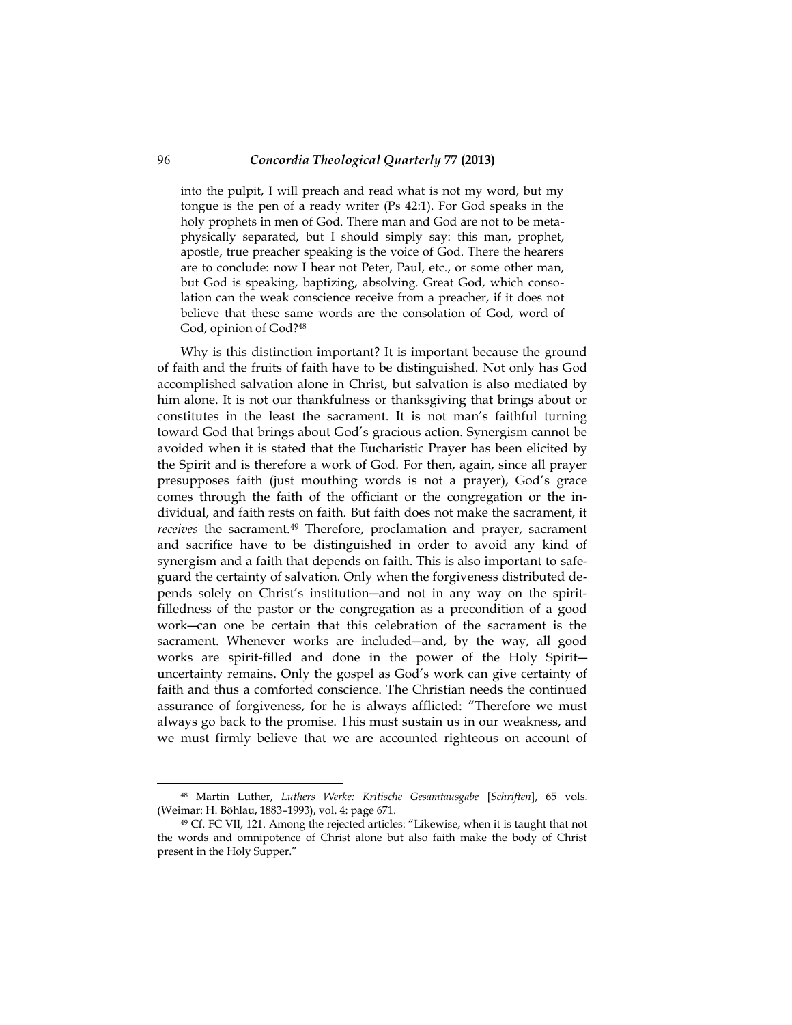into the pulpit, I will preach and read what is not my word, but my tongue is the pen of a ready writer (Ps 42:1). For God speaks in the holy prophets in men of God. There man and God are not to be metaphysically separated, but I should simply say: this man, prophet, apostle, true preacher speaking is the voice of God. There the hearers are to conclude: now I hear not Peter, Paul, etc., or some other man, but God is speaking, baptizing, absolving. Great God, which consolation can the weak conscience receive from a preacher, if it does not believe that these same words are the consolation of God, word of God, opinion of God?<sup>48</sup>

Why is this distinction important? It is important because the ground of faith and the fruits of faith have to be distinguished. Not only has God accomplished salvation alone in Christ, but salvation is also mediated by him alone. It is not our thankfulness or thanksgiving that brings about or constitutes in the least the sacrament. It is not man's faithful turning toward God that brings about God's gracious action. Synergism cannot be avoided when it is stated that the Eucharistic Prayer has been elicited by the Spirit and is therefore a work of God. For then, again, since all prayer presupposes faith (just mouthing words is not a prayer), God's grace comes through the faith of the officiant or the congregation or the individual, and faith rests on faith. But faith does not make the sacrament, it *receives* the sacrament.<sup>49</sup> Therefore, proclamation and prayer, sacrament and sacrifice have to be distinguished in order to avoid any kind of synergism and a faith that depends on faith. This is also important to safeguard the certainty of salvation. Only when the forgiveness distributed depends solely on Christ's institution―and not in any way on the spiritfilledness of the pastor or the congregation as a precondition of a good work―can one be certain that this celebration of the sacrament is the sacrament. Whenever works are included―and, by the way, all good works are spirit-filled and done in the power of the Holy Spirit― uncertainty remains. Only the gospel as God's work can give certainty of faith and thus a comforted conscience. The Christian needs the continued assurance of forgiveness, for he is always afflicted: "Therefore we must always go back to the promise. This must sustain us in our weakness, and we must firmly believe that we are accounted righteous on account of

<sup>48</sup> Martin Luther, *Luthers Werke: Kritische Gesamtausgabe* [*Schriften*], 65 vols. (Weimar: H. Böhlau, 1883–1993), vol. 4: page 671.

<sup>49</sup> Cf. FC VII, 121. Among the rejected articles: "Likewise, when it is taught that not the words and omnipotence of Christ alone but also faith make the body of Christ present in the Holy Supper."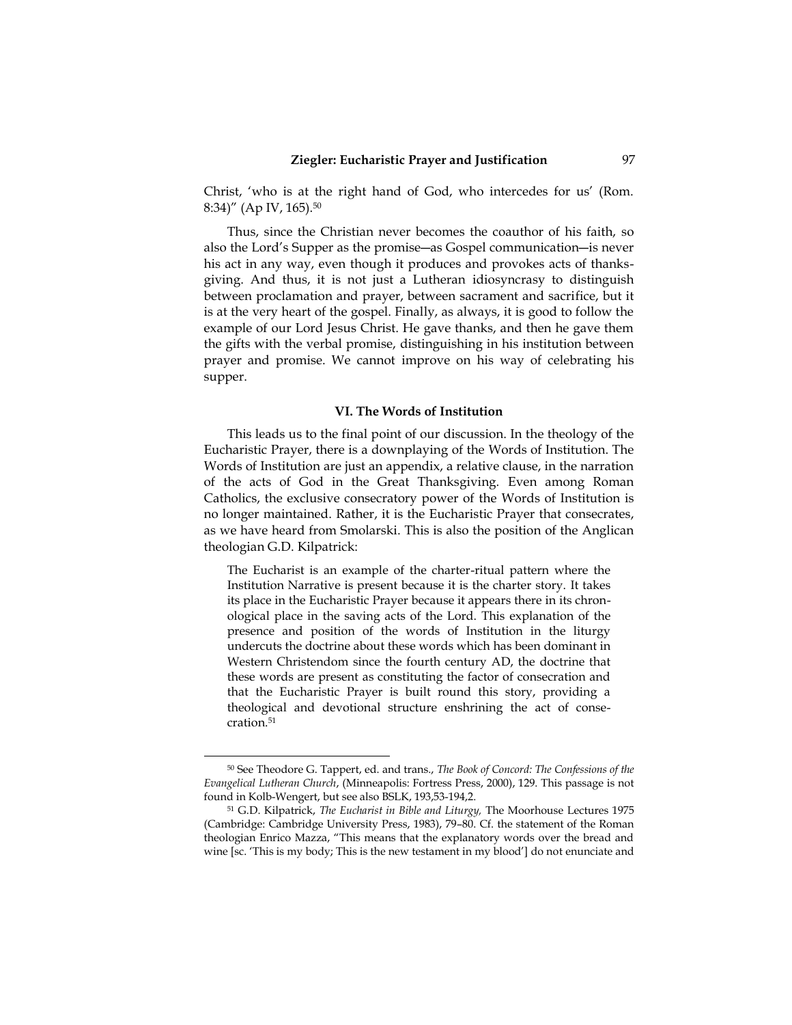Christ, 'who is at the right hand of God, who intercedes for us' (Rom. 8:34)" (Ap IV, 165).<sup>50</sup>

Thus, since the Christian never becomes the coauthor of his faith, so also the Lord's Supper as the promise―as Gospel communication―is never his act in any way, even though it produces and provokes acts of thanksgiving. And thus, it is not just a Lutheran idiosyncrasy to distinguish between proclamation and prayer, between sacrament and sacrifice, but it is at the very heart of the gospel. Finally, as always, it is good to follow the example of our Lord Jesus Christ. He gave thanks, and then he gave them the gifts with the verbal promise, distinguishing in his institution between prayer and promise. We cannot improve on his way of celebrating his supper.

#### **VI. The Words of Institution**

This leads us to the final point of our discussion. In the theology of the Eucharistic Prayer, there is a downplaying of the Words of Institution. The Words of Institution are just an appendix, a relative clause, in the narration of the acts of God in the Great Thanksgiving. Even among Roman Catholics, the exclusive consecratory power of the Words of Institution is no longer maintained. Rather, it is the Eucharistic Prayer that consecrates, as we have heard from Smolarski. This is also the position of the Anglican theologian G.D. Kilpatrick:

The Eucharist is an example of the charter-ritual pattern where the Institution Narrative is present because it is the charter story. It takes its place in the Eucharistic Prayer because it appears there in its chronological place in the saving acts of the Lord. This explanation of the presence and position of the words of Institution in the liturgy undercuts the doctrine about these words which has been dominant in Western Christendom since the fourth century AD, the doctrine that these words are present as constituting the factor of consecration and that the Eucharistic Prayer is built round this story, providing a theological and devotional structure enshrining the act of consecration.<sup>51</sup>

<sup>50</sup> See Theodore G. Tappert, ed. and trans., *The Book of Concord: The Confessions of the Evangelical Lutheran Church*, (Minneapolis: Fortress Press, 2000), 129. This passage is not found in Kolb-Wengert, but see also BSLK, 193,53-194,2.

<sup>51</sup> G.D. Kilpatrick, *The Eucharist in Bible and Liturgy,* The Moorhouse Lectures 1975 (Cambridge: Cambridge University Press, 1983), 79–80. Cf. the statement of the Roman theologian Enrico Mazza, "This means that the explanatory words over the bread and wine [sc. 'This is my body; This is the new testament in my blood'] do not enunciate and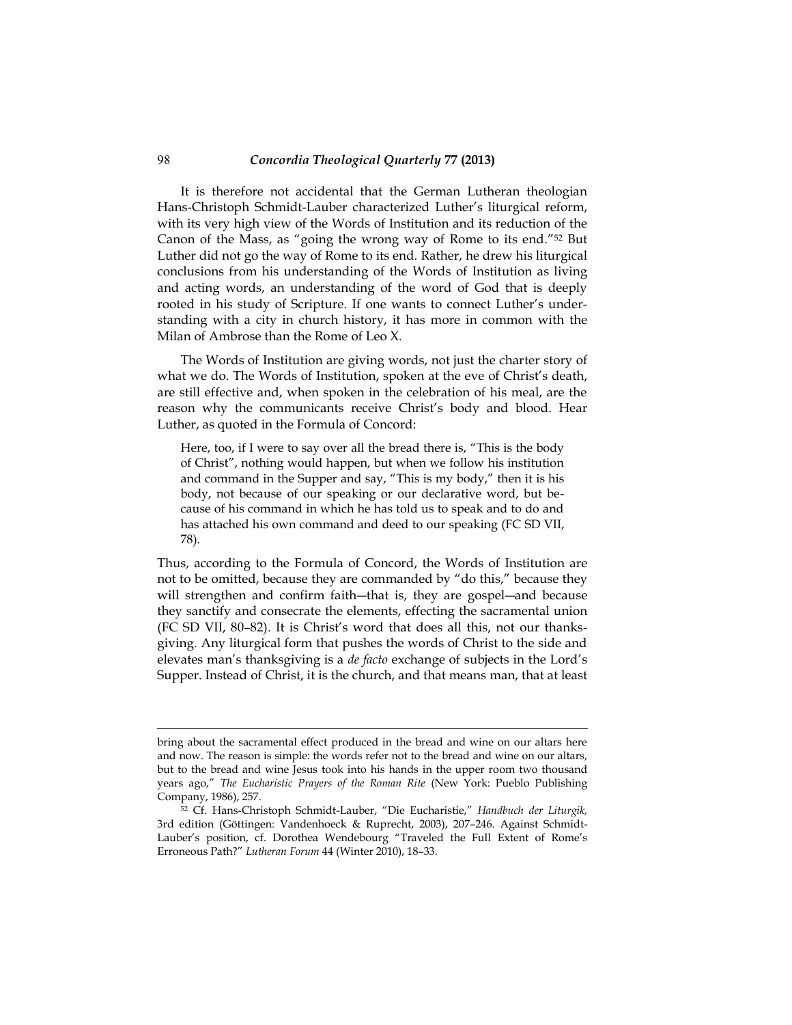It is therefore not accidental that the German Lutheran theologian Hans-Christoph Schmidt-Lauber characterized Luther's liturgical reform, with its very high view of the Words of Institution and its reduction of the Canon of the Mass, as "going the wrong way of Rome to its end."52 But Luther did not go the way of Rome to its end. Rather, he drew his liturgical conclusions from his understanding of the Words of Institution as living and acting words, an understanding of the word of God that is deeply rooted in his study of Scripture. If one wants to connect Luther's understanding with a city in church history, it has more in common with the Milan of Ambrose than the Rome of Leo X.

The Words of Institution are giving words, not just the charter story of what we do. The Words of Institution, spoken at the eve of Christ's death, are still effective and, when spoken in the celebration of his meal, are the reason why the communicants receive Christ's body and blood. Hear Luther, as quoted in the Formula of Concord:

Here, too, if I were to say over all the bread there is, "This is the body of Christ", nothing would happen, but when we follow his institution and command in the Supper and say, "This is my body," then it is his body, not because of our speaking or our declarative word, but because of his command in which he has told us to speak and to do and has attached his own command and deed to our speaking (FC SD VII, 78).

Thus, according to the Formula of Concord, the Words of Institution are not to be omitted, because they are commanded by "do this," because they will strengthen and confirm faith-that is, they are gospel-and because they sanctify and consecrate the elements, effecting the sacramental union (FC SD VII, 80–82). It is Christ's word that does all this, not our thanksgiving. Any liturgical form that pushes the words of Christ to the side and elevates man's thanksgiving is a *de facto* exchange of subjects in the Lord's Supper. Instead of Christ, it is the church, and that means man, that at least

bring about the sacramental effect produced in the bread and wine on our altars here and now. The reason is simple: the words refer not to the bread and wine on our altars, but to the bread and wine Jesus took into his hands in the upper room two thousand years ago," *The Eucharistic Prayers of the Roman Rite* (New York: Pueblo Publishing Company, 1986), 257.

<sup>52</sup> Cf. Hans-Christoph Schmidt-Lauber, "Die Eucharistie," *Handbuch der Liturgik,*  3rd edition (Göttingen: Vandenhoeck & Ruprecht, 2003), 207–246. Against Schmidt-Lauber's position, cf. Dorothea Wendebourg "Traveled the Full Extent of Rome's Erroneous Path?" *Lutheran Forum* 44 (Winter 2010), 18–33.